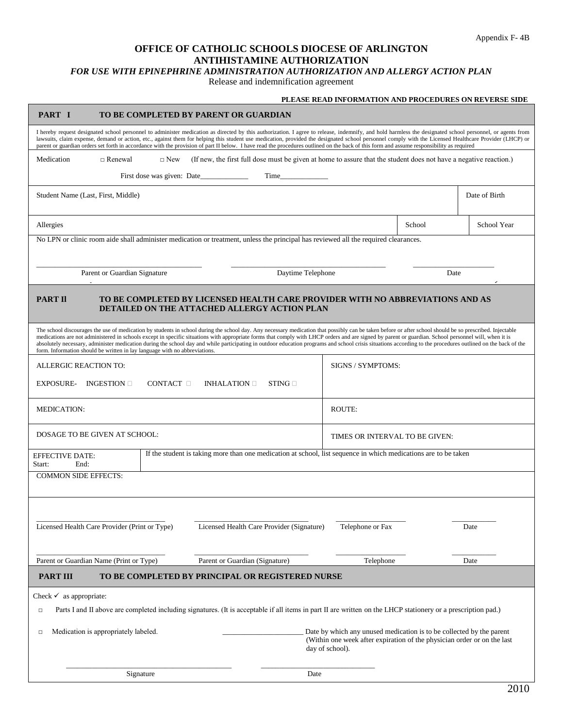## **OFFICE OF CATHOLIC SCHOOLS DIOCESE OF ARLINGTON ANTIHISTAMINE AUTHORIZATION**

## *FOR USE WITH EPINEPHRINE ADMINISTRATION AUTHORIZATION AND ALLERGY ACTION PLAN*

Release and indemnification agreement

| PART I<br>TO BE COMPLETED BY PARENT OR GUARDIAN                                                                                                                                                                                                                                                                                                                                                                                                                                                                                                                                                                                                                                                                 |  |  |  |  |                                |      |               |  |
|-----------------------------------------------------------------------------------------------------------------------------------------------------------------------------------------------------------------------------------------------------------------------------------------------------------------------------------------------------------------------------------------------------------------------------------------------------------------------------------------------------------------------------------------------------------------------------------------------------------------------------------------------------------------------------------------------------------------|--|--|--|--|--------------------------------|------|---------------|--|
| I hereby request designated school personnel to administer medication as directed by this authorization. I agree to release, indemnify, and hold harmless the designated school personnel, or agents from<br>lawsuits, claim expense, demand or action, etc., against them for helping this student use medication, provided the designated school personnel comply with the Licensed Healthcare Provider (LHCP) or<br>parent or guardian orders set forth in accordance with the provision of part II below. I have read the procedures outlined on the back of this form and assume responsibility as required                                                                                                |  |  |  |  |                                |      |               |  |
| (If new, the first full dose must be given at home to assure that the student does not have a negative reaction.)<br>Medication<br>$\Box$ Renewal<br>$\Box$ New                                                                                                                                                                                                                                                                                                                                                                                                                                                                                                                                                 |  |  |  |  |                                |      |               |  |
| Time in the same state of the same state of the same state of the same state of the same state of the same state of the same state of the same state of the same state of the same state of the same state of the same state o                                                                                                                                                                                                                                                                                                                                                                                                                                                                                  |  |  |  |  |                                |      |               |  |
| Student Name (Last, First, Middle)                                                                                                                                                                                                                                                                                                                                                                                                                                                                                                                                                                                                                                                                              |  |  |  |  |                                |      | Date of Birth |  |
| School<br>Allergies                                                                                                                                                                                                                                                                                                                                                                                                                                                                                                                                                                                                                                                                                             |  |  |  |  |                                |      | School Year   |  |
| No LPN or clinic room aide shall administer medication or treatment, unless the principal has reviewed all the required clearances.                                                                                                                                                                                                                                                                                                                                                                                                                                                                                                                                                                             |  |  |  |  |                                |      |               |  |
| Daytime Telephone<br>Parent or Guardian Signature                                                                                                                                                                                                                                                                                                                                                                                                                                                                                                                                                                                                                                                               |  |  |  |  |                                | Date |               |  |
| <b>PART II</b><br>TO BE COMPLETED BY LICENSED HEALTH CARE PROVIDER WITH NO ABBREVIATIONS AND AS<br>DETAILED ON THE ATTACHED ALLERGY ACTION PLAN                                                                                                                                                                                                                                                                                                                                                                                                                                                                                                                                                                 |  |  |  |  |                                |      |               |  |
| The school discourages the use of medication by students in school during the school day. Any necessary medication that possibly can be taken before or after school should be so prescribed. Injectable<br>medications are not administered in schools except in specific situations with appropriate forms that comply with LHCP orders and are signed by parent or guardian. School personnel will, when it is<br>absolutely necessary, administer medication during the school day and while participating in outdoor education programs and school crisis situations according to the procedures outlined on the back of the<br>form. Information should be written in lay language with no abbreviations. |  |  |  |  |                                |      |               |  |
| ALLERGIC REACTION TO:                                                                                                                                                                                                                                                                                                                                                                                                                                                                                                                                                                                                                                                                                           |  |  |  |  | SIGNS / SYMPTOMS:              |      |               |  |
| <b>EXPOSURE-</b><br>INGESTION $\square$<br>CONTACT $\Box$<br>INHALATION $\Box$<br>$STING \square$                                                                                                                                                                                                                                                                                                                                                                                                                                                                                                                                                                                                               |  |  |  |  |                                |      |               |  |
| <b>MEDICATION:</b>                                                                                                                                                                                                                                                                                                                                                                                                                                                                                                                                                                                                                                                                                              |  |  |  |  | ROUTE:                         |      |               |  |
| DOSAGE TO BE GIVEN AT SCHOOL:                                                                                                                                                                                                                                                                                                                                                                                                                                                                                                                                                                                                                                                                                   |  |  |  |  | TIMES OR INTERVAL TO BE GIVEN: |      |               |  |
| If the student is taking more than one medication at school, list sequence in which medications are to be taken<br><b>EFFECTIVE DATE:</b><br>Start:<br>End:                                                                                                                                                                                                                                                                                                                                                                                                                                                                                                                                                     |  |  |  |  |                                |      |               |  |
| <b>COMMON SIDE EFFECTS:</b>                                                                                                                                                                                                                                                                                                                                                                                                                                                                                                                                                                                                                                                                                     |  |  |  |  |                                |      |               |  |
|                                                                                                                                                                                                                                                                                                                                                                                                                                                                                                                                                                                                                                                                                                                 |  |  |  |  |                                |      |               |  |
| Licensed Health Care Provider (Print or Type)<br>Licensed Health Care Provider (Signature)                                                                                                                                                                                                                                                                                                                                                                                                                                                                                                                                                                                                                      |  |  |  |  | Telephone or Fax               |      | Date          |  |
| Parent or Guardian Name (Print or Type)<br>Parent or Guardian (Signature)                                                                                                                                                                                                                                                                                                                                                                                                                                                                                                                                                                                                                                       |  |  |  |  | Telephone                      |      | Date          |  |
| <b>PART III</b><br>TO BE COMPLETED BY PRINCIPAL OR REGISTERED NURSE                                                                                                                                                                                                                                                                                                                                                                                                                                                                                                                                                                                                                                             |  |  |  |  |                                |      |               |  |
| Check $\checkmark$ as appropriate:<br>Parts I and II above are completed including signatures. (It is acceptable if all items in part II are written on the LHCP stationery or a prescription pad.)<br>□                                                                                                                                                                                                                                                                                                                                                                                                                                                                                                        |  |  |  |  |                                |      |               |  |
| Medication is appropriately labeled.<br>Date by which any unused medication is to be collected by the parent<br>□<br>(Within one week after expiration of the physician order or on the last<br>day of school).                                                                                                                                                                                                                                                                                                                                                                                                                                                                                                 |  |  |  |  |                                |      |               |  |
| Signature<br>Date                                                                                                                                                                                                                                                                                                                                                                                                                                                                                                                                                                                                                                                                                               |  |  |  |  |                                |      |               |  |